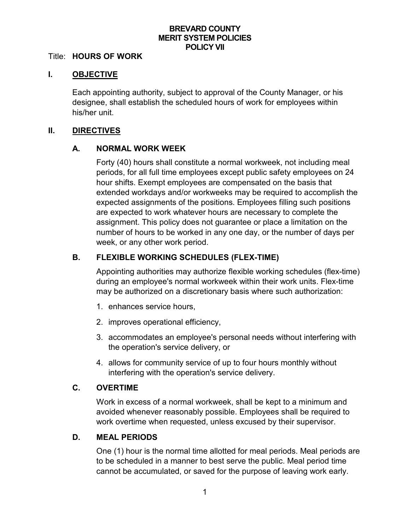## **BREVARD COUNTY MERIT SYSTEM POLICIES POLICY VII**

#### Title: **HOURS OF WORK**

### **I. OBJECTIVE**

Each appointing authority, subject to approval of the County Manager, or his designee, shall establish the scheduled hours of work for employees within his/her unit.

#### **II. DIRECTIVES**

## **A. NORMAL WORK WEEK**

Forty (40) hours shall constitute a normal workweek, not including meal periods, for all full time employees except public safety employees on 24 hour shifts. Exempt employees are compensated on the basis that extended workdays and/or workweeks may be required to accomplish the expected assignments of the positions. Employees filling such positions are expected to work whatever hours are necessary to complete the assignment. This policy does not guarantee or place a limitation on the number of hours to be worked in any one day, or the number of days per week, or any other work period.

## **B. FLEXIBLE WORKING SCHEDULES (FLEX-TIME)**

Appointing authorities may authorize flexible working schedules (flex-time) during an employee's normal workweek within their work units. Flex-time may be authorized on a discretionary basis where such authorization:

- 1. enhances service hours,
- 2. improves operational efficiency,
- 3. accommodates an employee's personal needs without interfering with the operation's service delivery, or
- 4. allows for community service of up to four hours monthly without interfering with the operation's service delivery.

## **C. OVERTIME**

Work in excess of a normal workweek, shall be kept to a minimum and avoided whenever reasonably possible. Employees shall be required to work overtime when requested, unless excused by their supervisor.

## **D. MEAL PERIODS**

One (1) hour is the normal time allotted for meal periods. Meal periods are to be scheduled in a manner to best serve the public. Meal period time cannot be accumulated, or saved for the purpose of leaving work early.